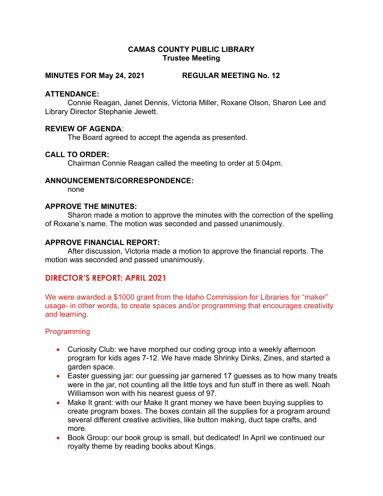## CAMAS COUNTY PUBLIC LIBRARY Trustee Meeting

## MINUTES FOR May 24, 2021 REGULAR MEETING No. 12

## ATTENDANCE:

Connie Reagan, Janet Dennis, Victoria Miller, Roxane Olson, Sharon Lee and Library Director Stephanie Jewett.

## REVIEW OF AGENDA:

The Board agreed to accept the agenda as presented.

## CALL TO ORDER:

Chairman Connie Reagan called the meeting to order at 5:04pm.

#### ANNOUNCEMENTS/CORRESPONDENCE:

none

## APPROVE THE MINUTES:

Sharon made a motion to approve the minutes with the correction of the spelling of Roxane's name. The motion was seconded and passed unanimously.

## APPROVE FINANCIAL REPORT:

After discussion, Victoria made a motion to approve the financial reports. The motion was seconded and passed unanimously.

## DIRECTOR'S REPORT: APRIL 2021

We were awarded a \$1000 grant from the Idaho Commission for Libraries for "maker" usage- in other words, to create spaces and/or programming that encourages creativity and learning.

#### Programming

- Curiosity Club: we have morphed our coding group into a weekly afternoon program for kids ages 7-12. We have made Shrinky Dinks, Zines, and started a garden space.
- Easter guessing jar: our guessing jar garnered 17 guesses as to how many treats were in the jar, not counting all the little toys and fun stuff in there as well. Noah Williamson won with his nearest guess of 97.
- Make It grant: with our Make It grant money we have been buying supplies to create program boxes. The boxes contain all the supplies for a program around several different creative activities, like button making, duct tape crafts, and more.
- Book Group: our book group is small, but dedicated! In April we continued our royalty theme by reading books about Kings.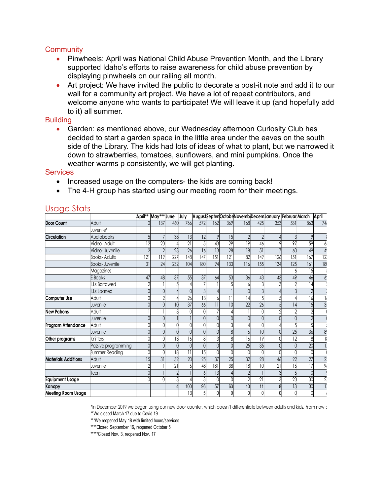## **Community**

- Pinwheels: April was National Child Abuse Prevention Month, and the Library supported Idaho's efforts to raise awareness for child abuse prevention by displaying pinwheels on our railing all month.
- Art project: We have invited the public to decorate a post-it note and add it to our wall for a community art project. We have a lot of repeat contributors, and welcome anyone who wants to participate! We will leave it up (and hopefully add to it) all summer.

## **Building**

#### **Services**

- Increased usage on the computers- the kids are coming back!
- The 4-H group has started using our meeting room for their meetings.

|                            | Pinwheels: April was National Child Abuse Prevention Month, and the Library                                            |                     |     |                  |          |                  |                  |                  |     |                  |                                                         |     |                  |                 |
|----------------------------|------------------------------------------------------------------------------------------------------------------------|---------------------|-----|------------------|----------|------------------|------------------|------------------|-----|------------------|---------------------------------------------------------|-----|------------------|-----------------|
|                            | supported Idaho's efforts to raise awareness for child abuse prevention by                                             |                     |     |                  |          |                  |                  |                  |     |                  |                                                         |     |                  |                 |
|                            | displaying pinwheels on our railing all month.                                                                         |                     |     |                  |          |                  |                  |                  |     |                  |                                                         |     |                  |                 |
|                            | Art project: We have invited the public to decorate a post-it note and add it to our                                   |                     |     |                  |          |                  |                  |                  |     |                  |                                                         |     |                  |                 |
|                            | wall for a community art project. We have a lot of repeat contributors, and                                            |                     |     |                  |          |                  |                  |                  |     |                  |                                                         |     |                  |                 |
|                            | welcome anyone who wants to participate! We will leave it up (and hopefully add                                        |                     |     |                  |          |                  |                  |                  |     |                  |                                                         |     |                  |                 |
|                            |                                                                                                                        |                     |     |                  |          |                  |                  |                  |     |                  |                                                         |     |                  |                 |
|                            | to it) all summer.                                                                                                     |                     |     |                  |          |                  |                  |                  |     |                  |                                                         |     |                  |                 |
| <b>Building</b>            |                                                                                                                        |                     |     |                  |          |                  |                  |                  |     |                  |                                                         |     |                  |                 |
|                            | Garden: as mentioned above, our Wednesday afternoon Curiosity Club has                                                 |                     |     |                  |          |                  |                  |                  |     |                  |                                                         |     |                  |                 |
|                            | decided to start a garden space in the little area under the eaves on the south                                        |                     |     |                  |          |                  |                  |                  |     |                  |                                                         |     |                  |                 |
|                            |                                                                                                                        |                     |     |                  |          |                  |                  |                  |     |                  |                                                         |     |                  |                 |
|                            | side of the Library. The kids had lots of ideas of what to plant, but we narrowed it                                   |                     |     |                  |          |                  |                  |                  |     |                  |                                                         |     |                  |                 |
|                            | down to strawberries, tomatoes, sunflowers, and mini pumpkins. Once the                                                |                     |     |                  |          |                  |                  |                  |     |                  |                                                         |     |                  |                 |
|                            | weather warms p consistently, we will get planting.                                                                    |                     |     |                  |          |                  |                  |                  |     |                  |                                                         |     |                  |                 |
| <b>Services</b>            |                                                                                                                        |                     |     |                  |          |                  |                  |                  |     |                  |                                                         |     |                  |                 |
|                            |                                                                                                                        |                     |     |                  |          |                  |                  |                  |     |                  |                                                         |     |                  |                 |
|                            | Increased usage on the computers- the kids are coming back!                                                            |                     |     |                  |          |                  |                  |                  |     |                  |                                                         |     |                  |                 |
|                            | The 4-H group has started using our meeting room for their meetings.                                                   |                     |     |                  |          |                  |                  |                  |     |                  |                                                         |     |                  |                 |
|                            |                                                                                                                        |                     |     |                  |          |                  |                  |                  |     |                  |                                                         |     |                  |                 |
| <b>Usage Stats</b>         |                                                                                                                        |                     |     |                  |          |                  |                  |                  |     |                  |                                                         |     |                  |                 |
|                            |                                                                                                                        | April** May*** June |     |                  | July     |                  |                  |                  |     |                  | AugustSeptenOctobeNovembDecemJanuary FebruarMarch April |     |                  |                 |
| Door Count                 | Adult                                                                                                                  |                     | 137 | 460              | 766      | 572              | 162              | 369              | 168 | 425              | 353                                                     | 531 | 863              | 74              |
|                            | Juvenile*                                                                                                              |                     |     |                  |          |                  |                  |                  |     |                  |                                                         |     |                  |                 |
| <b>Circulation</b>         | Audiobooks                                                                                                             |                     |     | 38               | 13       |                  |                  |                  |     |                  |                                                         |     |                  |                 |
|                            | Video- Adult                                                                                                           | 12                  | 20  |                  | 21       |                  | 43               | 29               | 9   | 46               | 19                                                      | 97  | 59               |                 |
|                            | Video- Juvenile                                                                                                        |                     |     | 23               | 26       |                  | 13               | 28               | 18  | 51               | 17                                                      | 60  | 49               |                 |
|                            | Books- Adults                                                                                                          | 2                   | 119 | $\overline{227}$ | 148      | $\overline{147}$ | $\overline{151}$ | $\overline{121}$ | 82  | $\overline{149}$ | 126                                                     | 151 | $\overline{167}$ | 12 <sup>°</sup> |
|                            | <b>Books-Juvenile</b>                                                                                                  | 31                  | 24  | 232              | 104      | 180              |                  | 133              | 116 | 155              | 134                                                     | 125 | 161              | 18              |
|                            | Magazines                                                                                                              |                     |     |                  |          |                  |                  |                  |     |                  |                                                         |     |                  |                 |
|                            | E-Books                                                                                                                |                     | 48  | 37               | 55       | 37               | 64               | 53               | 36  |                  |                                                         |     | 46               |                 |
|                            | LLs Borrowed                                                                                                           |                     |     |                  |          |                  |                  |                  |     |                  |                                                         |     |                  |                 |
|                            | <b>ILLs Loaned</b>                                                                                                     |                     |     |                  |          |                  |                  |                  |     |                  |                                                         |     |                  |                 |
| Computer Use               | Adult                                                                                                                  |                     |     |                  | 26       |                  |                  |                  |     |                  |                                                         |     |                  |                 |
|                            | Juvenile                                                                                                               |                     |     |                  | 37       |                  |                  |                  |     | 26               |                                                         |     |                  |                 |
| <b>New Patrons</b>         | Adult                                                                                                                  |                     |     |                  |          |                  |                  |                  |     |                  |                                                         |     |                  |                 |
|                            | Juvenile                                                                                                               |                     |     |                  |          |                  |                  |                  |     |                  |                                                         |     |                  |                 |
| <b>Program Attendance</b>  | Adult                                                                                                                  |                     |     |                  |          |                  |                  |                  |     |                  |                                                         |     |                  |                 |
|                            | Juvenile                                                                                                               |                     |     |                  |          |                  |                  |                  |     |                  |                                                         |     | 36               |                 |
| Other programs             | Knitters                                                                                                               |                     |     |                  | 14<br>ιu |                  |                  |                  | וטו | 9                | 10                                                      |     |                  |                 |
|                            | Passive programming                                                                                                    |                     |     |                  |          |                  |                  |                  | 25  | 35               |                                                         |     | 20               |                 |
|                            | Summer Reading                                                                                                         |                     |     | 18               |          |                  |                  |                  |     |                  |                                                         |     |                  |                 |
| <b>Materials Additions</b> | Adult                                                                                                                  | 15                  | 31  | 32               | 20       | $\overline{25}$  | 37               | 25               | 32  | 28               | 46                                                      | 22  | $\overline{27}$  |                 |
|                            | Juvenile                                                                                                               |                     |     | 21               |          | 48               | $\overline{181}$ | $\overline{38}$  | 18  |                  | $\overline{21}$                                         |     | 17               |                 |
|                            | Teen                                                                                                                   |                     |     |                  |          |                  | 13               |                  |     |                  |                                                         |     |                  |                 |
| <b>Equipment Usage</b>     |                                                                                                                        |                     |     |                  |          |                  |                  |                  |     | 21               | 13                                                      | 23  | 30               |                 |
| Kanopy                     |                                                                                                                        |                     |     |                  | 100      | 96               | 57               | 63               | 10  | 11               | 8                                                       | 13  | 30               |                 |
| <b>Meeting Room Usage</b>  |                                                                                                                        |                     |     |                  | 13       |                  |                  |                  |     |                  |                                                         |     | $\Omega$         |                 |
|                            |                                                                                                                        |                     |     |                  |          |                  |                  |                  |     |                  |                                                         |     |                  |                 |
|                            | *In December 2019 we began using our new door counter, which doesn't differentiate between adults and kids. From now a |                     |     |                  |          |                  |                  |                  |     |                  |                                                         |     |                  |                 |
|                            | **We closed March 17 due to Covid-19                                                                                   |                     |     |                  |          |                  |                  |                  |     |                  |                                                         |     |                  |                 |
|                            | ***We reopened May 18 with limited hours/services                                                                      |                     |     |                  |          |                  |                  |                  |     |                  |                                                         |     |                  |                 |
|                            | **** Closed September 16, reopened October 5                                                                           |                     |     |                  |          |                  |                  |                  |     |                  |                                                         |     |                  |                 |
|                            | $***C$ loood Nou 2 roopened Nou 17                                                                                     |                     |     |                  |          |                  |                  |                  |     |                  |                                                         |     |                  |                 |

# Usage Stats

\*\*\*\*\*Closed Nov. 3, reopened Nov. 17